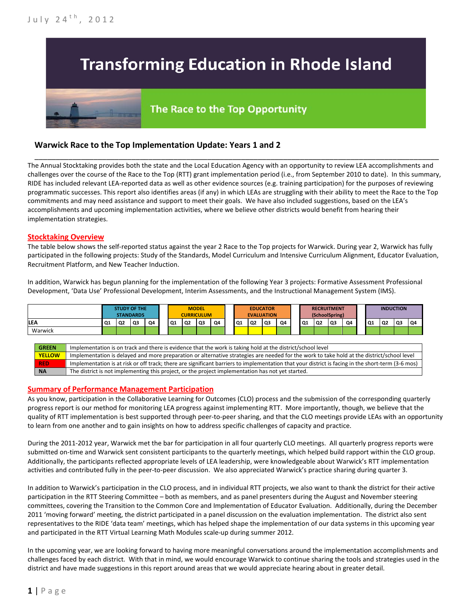# **Transforming Education in Rhode Island**

## The Race to the Top Opportunity

### **Warwick Race to the Top Implementation Update: Years 1 and 2**

The Annual Stocktaking provides both the state and the Local Education Agency with an opportunity to review LEA accomplishments and challenges over the course of the Race to the Top (RTT) grant implementation period (i.e., from September 2010 to date). In this summary, RIDE has included relevant LEA-reported data as well as other evidence sources (e.g. training participation) for the purposes of reviewing programmatic successes. This report also identifies areas (if any) in which LEAs are struggling with their ability to meet the Race to the Top commitments and may need assistance and support to meet their goals. We have also included suggestions, based on the LEA's accomplishments and upcoming implementation activities, where we believe other districts would benefit from hearing their implementation strategies.

\_\_\_\_\_\_\_\_\_\_\_\_\_\_\_\_\_\_\_\_\_\_\_\_\_\_\_\_\_\_\_\_\_\_\_\_\_\_\_\_\_\_\_\_\_\_\_\_\_\_\_\_\_\_\_\_\_\_\_\_\_\_\_\_\_\_\_\_\_\_\_\_\_\_\_\_\_\_\_\_\_\_\_\_\_\_\_\_\_\_\_\_\_\_\_\_

#### **Stocktaking Overview**

The table below shows the self-reported status against the year 2 Race to the Top projects for Warwick. During year 2, Warwick has fully participated in the following projects: Study of the Standards, Model Curriculum and Intensive Curriculum Alignment, Educator Evaluation, Recruitment Platform, and New Teacher Induction.

In addition, Warwick has begun planning for the implementation of the following Year 3 projects: Formative Assessment Professional Development, 'Data Use' Professional Development, Interim Assessments, and the Instructional Management System (IMS).



#### **Summary of Performance Management Participation**

As you know, participation in the Collaborative Learning for Outcomes (CLO) process and the submission of the corresponding quarterly progress report is our method for monitoring LEA progress against implementing RTT. More importantly, though, we believe that the quality of RTT implementation is best supported through peer-to-peer sharing, and that the CLO meetings provide LEAs with an opportunity to learn from one another and to gain insights on how to address specific challenges of capacity and practice.

During the 2011-2012 year, Warwick met the bar for participation in all four quarterly CLO meetings. All quarterly progress reports were submitted on-time and Warwick sent consistent participants to the quarterly meetings, which helped build rapport within the CLO group. Additionally, the participants reflected appropriate levels of LEA leadership, were knowledgeable about Warwick's RTT implementation activities and contributed fully in the peer-to-peer discussion. We also appreciated Warwick's practice sharing during quarter 3.

In addition to Warwick's participation in the CLO process, and in individual RTT projects, we also want to thank the district for their active participation in the RTT Steering Committee – both as members, and as panel presenters during the August and November steering committees, covering the Transition to the Common Core and Implementation of Educator Evaluation. Additionally, during the December 2011 'moving forward' meeting, the district participated in a panel discussion on the evaluation implementation. The district also sent representatives to the RIDE 'data team' meetings, which has helped shape the implementation of our data systems in this upcoming year and participated in the RTT Virtual Learning Math Modules scale-up during summer 2012.

In the upcoming year, we are looking forward to having more meaningful conversations around the implementation accomplishments and challenges faced by each district. With that in mind, we would encourage Warwick to continue sharing the tools and strategies used in the district and have made suggestions in this report around areas that we would appreciate hearing about in greater detail.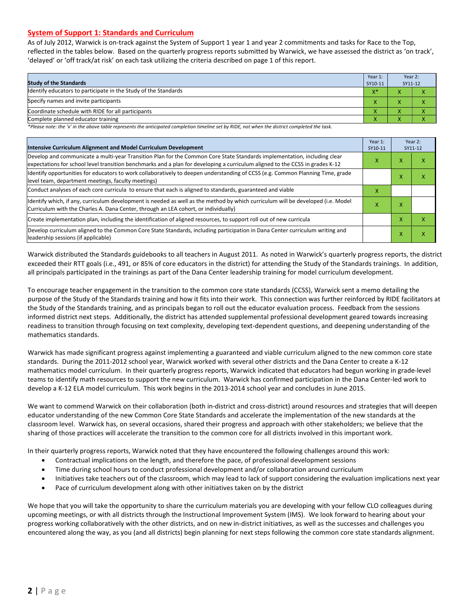#### **System of Support 1: Standards and Curriculum**

As of July 2012, Warwick is on-track against the System of Support 1 year 1 and year 2 commitments and tasks for Race to the Top, reflected in the tables below. Based on the quarterly progress reports submitted by Warwick, we have assessed the district as 'on track', 'delayed' or 'off track/at risk' on each task utilizing the criteria described on page 1 of this report.

| <b>Study of the Standards</b>                                   | Year 1:<br>SY10-11 | Year 2:<br>SY11-12 |  |
|-----------------------------------------------------------------|--------------------|--------------------|--|
| Identify educators to participate in the Study of the Standards | $X^*$              |                    |  |
| Specify names and invite participants                           |                    |                    |  |
| Coordinate schedule with RIDE for all participants              | $\mathbf{\Lambda}$ | ∧                  |  |
| Complete planned educator training                              | $\mathbf{\Lambda}$ | ∧                  |  |

*\*Please note: the 'x' in the above table represents the anticipated completion timeline set by RIDE, not when the district completed the task.*

| Intensive Curriculum Alignment and Model Curriculum Development                                                                                                                                                                                           |   |   | Year 2:<br>SY11-12 |
|-----------------------------------------------------------------------------------------------------------------------------------------------------------------------------------------------------------------------------------------------------------|---|---|--------------------|
| Develop and communicate a multi-year Transition Plan for the Common Core State Standards implementation, including clear<br>expectations for school level transition benchmarks and a plan for developing a curriculum aligned to the CCSS in grades K-12 |   |   | χ                  |
| Identify opportunities for educators to work collaboratively to deepen understanding of CCSS (e.g. Common Planning Time, grade<br>level team, department meetings, faculty meetings)                                                                      |   | ⋏ | χ                  |
| Conduct analyses of each core curricula to ensure that each is aligned to standards, guaranteed and viable                                                                                                                                                | X |   |                    |
| Identify which, if any, curriculum development is needed as well as the method by which curriculum will be developed (i.e. Model<br>Curriculum with the Charles A. Dana Center, through an LEA cohort, or individually)                                   |   |   |                    |
| Create implementation plan, including the identification of aligned resources, to support roll out of new curricula                                                                                                                                       |   | x | χ                  |
| Develop curriculum aligned to the Common Core State Standards, including participation in Dana Center curriculum writing and<br>leadership sessions (if applicable)                                                                                       |   | x | χ                  |

Warwick distributed the Standards guidebooks to all teachers in August 2011. As noted in Warwick's quarterly progress reports, the district exceeded their RTT goals (i.e., 491, or 85% of core educators in the district) for attending the Study of the Standards trainings. In addition, all principals participated in the trainings as part of the Dana Center leadership training for model curriculum development.

To encourage teacher engagement in the transition to the common core state standards (CCSS), Warwick sent a memo detailing the purpose of the Study of the Standards training and how it fits into their work. This connection was further reinforced by RIDE facilitators at the Study of the Standards training, and as principals began to roll out the educator evaluation process. Feedback from the sessions informed district next steps. Additionally, the district has attended supplemental professional development geared towards increasing readiness to transition through focusing on text complexity, developing text-dependent questions, and deepening understanding of the mathematics standards.

Warwick has made significant progress against implementing a guaranteed and viable curriculum aligned to the new common core state standards. During the 2011-2012 school year, Warwick worked with several other districts and the Dana Center to create a K-12 mathematics model curriculum. In their quarterly progress reports, Warwick indicated that educators had begun working in grade-level teams to identify math resources to support the new curriculum. Warwick has confirmed participation in the Dana Center-led work to develop a K-12 ELA model curriculum. This work begins in the 2013-2014 school year and concludes in June 2015.

We want to commend Warwick on their collaboration (both in-district and cross-district) around resources and strategies that will deepen educator understanding of the new Common Core State Standards and accelerate the implementation of the new standards at the classroom level. Warwick has, on several occasions, shared their progress and approach with other stakeholders; we believe that the sharing of those practices will accelerate the transition to the common core for all districts involved in this important work.

In their quarterly progress reports, Warwick noted that they have encountered the following challenges around this work:

- Contractual implications on the length, and therefore the pace, of professional development sessions
- Time during school hours to conduct professional development and/or collaboration around curriculum
- Initiatives take teachers out of the classroom, which may lead to lack of support considering the evaluation implications next year
- Pace of curriculum development along with other initiatives taken on by the district

We hope that you will take the opportunity to share the curriculum materials you are developing with your fellow CLO colleagues during upcoming meetings, or with all districts through the Instructional Improvement System (IMS). We look forward to hearing about your progress working collaboratively with the other districts, and on new in-district initiatives, as well as the successes and challenges you encountered along the way, as you (and all districts) begin planning for next steps following the common core state standards alignment.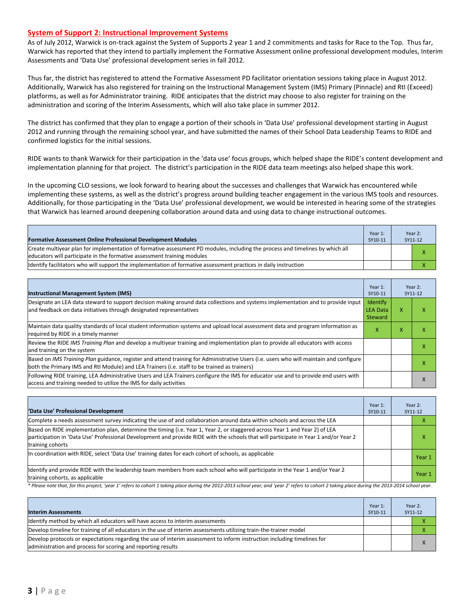#### **System of Support 2: Instructional Improvement Systems**

As of July 2012, Warwick is on-track against the System of Supports 2 year 1 and 2 commitments and tasks for Race to the Top. Thus far, Warwick has reported that they intend to partially implement the Formative Assessment online professional development modules, Interim Assessments and 'Data Use' professional development series in fall 2012.

Thus far, the district has registered to attend the Formative Assessment PD facilitator orientation sessions taking place in August 2012. Additionally, Warwick has also registered for training on the Instructional Management System (IMS) Primary (Pinnacle) and RtI (Exceed) platforms, as well as for Administrator training. RIDE anticipates that the district may choose to also register for training on the administration and scoring of the Interim Assessments, which will also take place in summer 2012.

The district has confirmed that they plan to engage a portion of their schools in 'Data Use' professional development starting in August 2012 and running through the remaining school year, and have submitted the names of their School Data Leadership Teams to RIDE and confirmed logistics for the initial sessions.

RIDE wants to thank Warwick for their participation in the 'data use' focus groups, which helped shape the RIDE's content development and implementation planning for that project. The district's participation in the RIDE data team meetings also helped shape this work.

In the upcoming CLO sessions, we look forward to hearing about the successes and challenges that Warwick has encountered while implementing these systems, as well as the district's progress around building teacher engagement in the various IMS tools and resources. Additionally, for those participating in the 'Data Use' professional development, we would be interested in hearing some of the strategies that Warwick has learned around deepening collaboration around data and using data to change instructional outcomes.

| <b>Formative Assessment Online Professional Development Modules</b>                                                                                                                                      | Year 1:<br>SY10-11 | Year 2:<br>SY11-12 |
|----------------------------------------------------------------------------------------------------------------------------------------------------------------------------------------------------------|--------------------|--------------------|
| Create multivear plan for implementation of formative assessment PD modules, including the process and timelines by which all<br>educators will participate in the formative assessment training modules |                    | ⋏                  |
| ldentify facilitators who will support the implementation of formative assessment practices in daily instruction                                                                                         |                    |                    |

| <b>Instructional Management System (IMS)</b>                                                                                                                                                                                           |                                               |   | Year 2:<br>SY11-12 |
|----------------------------------------------------------------------------------------------------------------------------------------------------------------------------------------------------------------------------------------|-----------------------------------------------|---|--------------------|
| Designate an LEA data steward to support decision making around data collections and systems implementation and to provide input<br>and feedback on data initiatives through designated representatives                                | Identify<br><b>LEA Data</b><br><b>Steward</b> | x | χ                  |
| Maintain data quality standards of local student information systems and upload local assessment data and program information as<br>required by RIDE in a timely manner                                                                | x                                             | x | χ                  |
| Review the RIDE IMS Training Plan and develop a multivear training and implementation plan to provide all educators with access<br>and training on the system                                                                          |                                               |   | χ                  |
| Based on IMS Training Plan guidance, register and attend training for Administrative Users (i.e. users who will maintain and configure<br>both the Primary IMS and RtI Module) and LEA Trainers (i.e. staff to be trained as trainers) |                                               |   | χ                  |
| Following RIDE training, LEA Administrative Users and LEA Trainers configure the IMS for educator use and to provide end users with<br>access and training needed to utilize the IMS for daily activities                              |                                               |   | x                  |

| 'Data Use' Professional Development                                                                                                                                                                                                                                                     | Year 1:<br>SY10-11 |  | Year 2:<br>SY11-12 |
|-----------------------------------------------------------------------------------------------------------------------------------------------------------------------------------------------------------------------------------------------------------------------------------------|--------------------|--|--------------------|
| Complete a needs assessment survey indicating the use of and collaboration around data within schools and across the LEA                                                                                                                                                                |                    |  | ⋏                  |
| Based on RIDE implementation plan, determine the timing (i.e. Year 1, Year 2, or staggered across Year 1 and Year 2) of LEA<br>participation in 'Data Use' Professional Development and provide RIDE with the schools that will participate in Year 1 and/or Year 2<br>training cohorts |                    |  | x                  |
| In coordination with RIDE, select 'Data Use' training dates for each cohort of schools, as applicable                                                                                                                                                                                   |                    |  | Year 1             |
| Identify and provide RIDE with the leadership team members from each school who will participate in the Year 1 and/or Year 2<br>training cohorts, as applicable                                                                                                                         |                    |  | Year 1             |

*\* Please note that, for this project, 'year 1' refers to cohort 1 taking place during the 2012-2013 school year, and 'year 2' refers to cohort 2 taking place during the 2013-2014 school year.*

| <b>Interim Assessments</b>                                                                                                                                                              | Year 1:<br>SY10-11 | Year 2:<br>SY11-12 |
|-----------------------------------------------------------------------------------------------------------------------------------------------------------------------------------------|--------------------|--------------------|
| Identify method by which all educators will have access to interim assessments                                                                                                          |                    |                    |
| Develop timeline for training of all educators in the use of interim assessments utilizing train-the-trainer model                                                                      |                    |                    |
| Develop protocols or expectations regarding the use of interim assessment to inform instruction including timelines for<br>administration and process for scoring and reporting results |                    |                    |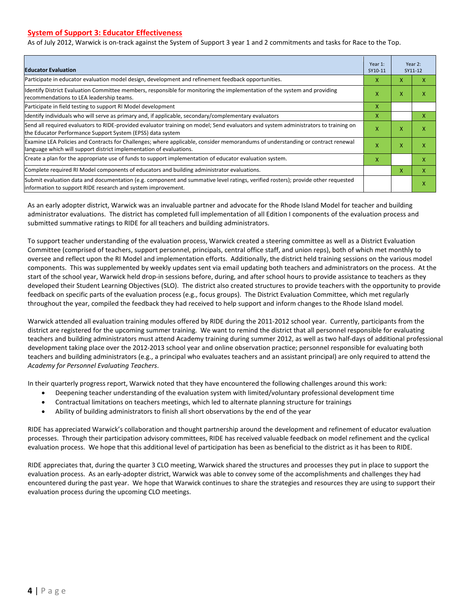#### **System of Support 3: Educator Effectiveness**

As of July 2012, Warwick is on-track against the System of Support 3 year 1 and 2 commitments and tasks for Race to the Top.

| <b>Educator Evaluation</b>                                                                                                                                                                            |   |   | Year 2:<br>SY11-12 |
|-------------------------------------------------------------------------------------------------------------------------------------------------------------------------------------------------------|---|---|--------------------|
| Participate in educator evaluation model design, development and refinement feedback opportunities.                                                                                                   |   | X | x                  |
| Identify District Evaluation Committee members, responsible for monitoring the implementation of the system and providing<br>recommendations to LEA leadership teams.                                 |   |   | χ                  |
| Participate in field testing to support RI Model development                                                                                                                                          | x |   |                    |
| Identify individuals who will serve as primary and, if applicable, secondary/complementary evaluators                                                                                                 | x |   | x                  |
| Send all required evaluators to RIDE-provided evaluator training on model; Send evaluators and system administrators to training on<br>the Educator Performance Support System (EPSS) data system     | X | X | χ                  |
| Examine LEA Policies and Contracts for Challenges; where applicable, consider memorandums of understanding or contract renewal<br>language which will support district implementation of evaluations. | X | X | x                  |
| Create a plan for the appropriate use of funds to support implementation of educator evaluation system.                                                                                               |   |   | x                  |
| Complete required RI Model components of educators and building administrator evaluations.                                                                                                            |   |   | X                  |
| Submit evaluation data and documentation (e.g. component and summative level ratings, verified rosters); provide other requested<br>information to support RIDE research and system improvement.      |   |   | χ                  |

As an early adopter district, Warwick was an invaluable partner and advocate for the Rhode Island Model for teacher and building administrator evaluations. The district has completed full implementation of all Edition I components of the evaluation process and submitted summative ratings to RIDE for all teachers and building administrators.

To support teacher understanding of the evaluation process, Warwick created a steering committee as well as a District Evaluation Committee (comprised of teachers, support personnel, principals, central office staff, and union reps), both of which met monthly to oversee and reflect upon the RI Model and implementation efforts. Additionally, the district held training sessions on the various model components. This was supplemented by weekly updates sent via email updating both teachers and administrators on the process. At the start of the school year, Warwick held drop-in sessions before, during, and after school hours to provide assistance to teachers as they developed their Student Learning Objectives (SLO). The district also created structures to provide teachers with the opportunity to provide feedback on specific parts of the evaluation process (e.g., focus groups). The District Evaluation Committee, which met regularly throughout the year, compiled the feedback they had received to help support and inform changes to the Rhode Island model.

Warwick attended all evaluation training modules offered by RIDE during the 2011-2012 school year. Currently, participants from the district are registered for the upcoming summer training. We want to remind the district that all personnel responsible for evaluating teachers and building administrators must attend Academy training during summer 2012, as well as two half-days of additional professional development taking place over the 2012-2013 school year and online observation practice; personnel responsible for evaluating both teachers and building administrators (e.g., a principal who evaluates teachers and an assistant principal) are only required to attend the *Academy for Personnel Evaluating Teachers*.

In their quarterly progress report, Warwick noted that they have encountered the following challenges around this work:

- Deepening teacher understanding of the evaluation system with limited/voluntary professional development time
- Contractual limitations on teachers meetings, which led to alternate planning structure for trainings
- Ability of building administrators to finish all short observations by the end of the year

RIDE has appreciated Warwick's collaboration and thought partnership around the development and refinement of educator evaluation processes. Through their participation advisory committees, RIDE has received valuable feedback on model refinement and the cyclical evaluation process. We hope that this additional level of participation has been as beneficial to the district as it has been to RIDE.

RIDE appreciates that, during the quarter 3 CLO meeting, Warwick shared the structures and processes they put in place to support the evaluation process. As an early-adopter district, Warwick was able to convey some of the accomplishments and challenges they had encountered during the past year. We hope that Warwick continues to share the strategies and resources they are using to support their evaluation process during the upcoming CLO meetings.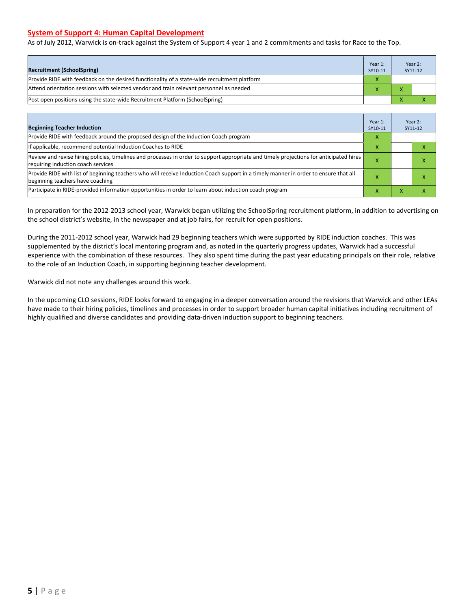#### **System of Support 4: Human Capital Development**

As of July 2012, Warwick is on-track against the System of Support 4 year 1 and 2 commitments and tasks for Race to the Top.

| <b>Recruitment (SchoolSpring)</b>                                                            | Year 1:<br>SY10-11 | Year 2:<br>SY11-12 |
|----------------------------------------------------------------------------------------------|--------------------|--------------------|
| Provide RIDE with feedback on the desired functionality of a state-wide recruitment platform |                    |                    |
| Attend orientation sessions with selected vendor and train relevant personnel as needed      |                    |                    |
| [Post open positions using the state-wide Recruitment Platform (SchoolSpring)                |                    |                    |

| <b>Beginning Teacher Induction</b>                                                                                                                                            | Year 1:<br>SY10-11 |                           | Year 2:<br>SY11-12 |
|-------------------------------------------------------------------------------------------------------------------------------------------------------------------------------|--------------------|---------------------------|--------------------|
| Provide RIDE with feedback around the proposed design of the Induction Coach program                                                                                          |                    |                           |                    |
| If applicable, recommend potential Induction Coaches to RIDE                                                                                                                  | x                  |                           |                    |
| Review and revise hiring policies, timelines and processes in order to support appropriate and timely projections for anticipated hires<br>requiring induction coach services | л                  |                           | χ                  |
| Provide RIDE with list of beginning teachers who will receive Induction Coach support in a timely manner in order to ensure that all<br>beginning teachers have coaching      |                    |                           | ⋏                  |
| Participate in RIDE-provided information opportunities in order to learn about induction coach program                                                                        | x                  | $\mathbf{v}$<br>$\lambda$ | x                  |

In preparation for the 2012-2013 school year, Warwick began utilizing the SchoolSpring recruitment platform, in addition to advertising on the school district's website, in the newspaper and at job fairs, for recruit for open positions.

During the 2011-2012 school year, Warwick had 29 beginning teachers which were supported by RIDE induction coaches. This was supplemented by the district's local mentoring program and, as noted in the quarterly progress updates, Warwick had a successful experience with the combination of these resources. They also spent time during the past year educating principals on their role, relative to the role of an Induction Coach, in supporting beginning teacher development.

Warwick did not note any challenges around this work.

In the upcoming CLO sessions, RIDE looks forward to engaging in a deeper conversation around the revisions that Warwick and other LEAs have made to their hiring policies, timelines and processes in order to support broader human capital initiatives including recruitment of highly qualified and diverse candidates and providing data-driven induction support to beginning teachers.